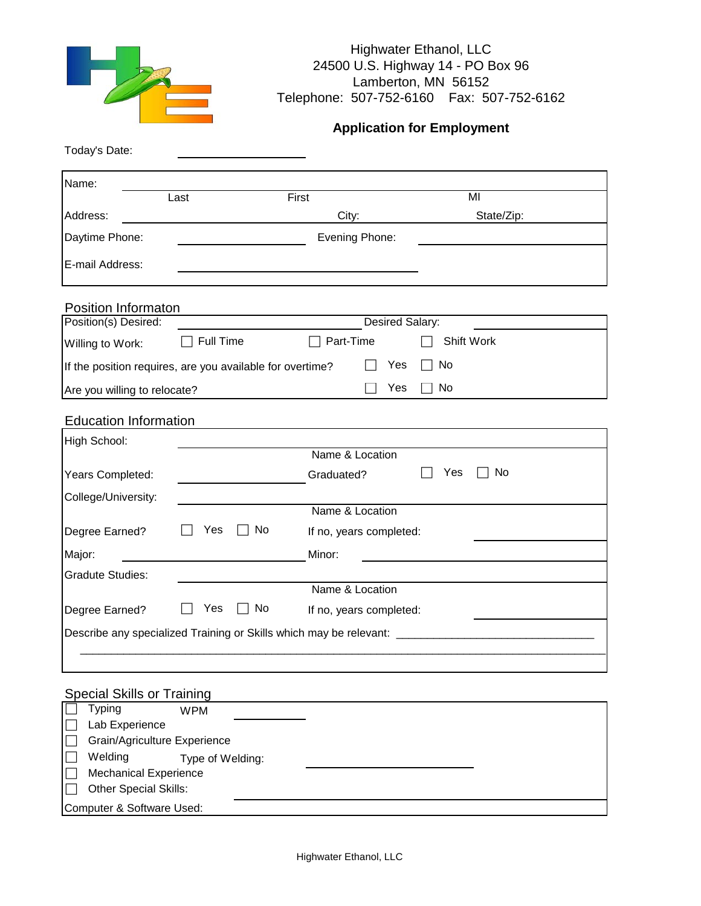

### Highwater Ethanol, LLC 24500 U.S. Highway 14 - PO Box 96 Lamberton, MN 56152 Telephone: 507-752-6160 Fax: 507-752-6162

# **Application for Employment**

| Name:                        |                                                           |                         |            |
|------------------------------|-----------------------------------------------------------|-------------------------|------------|
|                              | Last                                                      | First                   | MI         |
| Address:                     |                                                           | City:                   | State/Zip: |
| Daytime Phone:               |                                                           | Evening Phone:          |            |
| E-mail Address:              |                                                           |                         |            |
| Position Informaton          |                                                           |                         |            |
| Position(s) Desired:         |                                                           | <b>Desired Salary:</b>  |            |
| Willing to Work:             | Full Time                                                 | Part-Time               | Shift Work |
|                              | If the position requires, are you available for overtime? | Yes                     | No         |
| Are you willing to relocate? |                                                           | Yes                     | No         |
|                              |                                                           |                         |            |
| <b>Education Information</b> |                                                           |                         |            |
| High School:                 |                                                           | Name & Location         |            |
| Years Completed:             |                                                           | Graduated?              | Yes<br>No  |
| College/University:          |                                                           |                         |            |
|                              |                                                           | Name & Location         |            |
| Degree Earned?               | No<br>Yes                                                 | If no, years completed: |            |
| Major:                       |                                                           | Minor:                  |            |
| <b>Gradute Studies:</b>      |                                                           |                         |            |
|                              |                                                           | Name & Location         |            |
| Degree Earned?               | Yes<br>No                                                 | If no, years completed: |            |
|                              |                                                           |                         |            |

# **Special Skills or Training**

|        | <b>Typing</b>                | <b>WPM</b>       |  |
|--------|------------------------------|------------------|--|
|        | Lab Experience               |                  |  |
| $\Box$ | Grain/Agriculture Experience |                  |  |
| $\Box$ | Welding                      | Type of Welding: |  |
| $\Box$ | <b>Mechanical Experience</b> |                  |  |
| $\Box$ | <b>Other Special Skills:</b> |                  |  |
|        | Computer & Software Used:    |                  |  |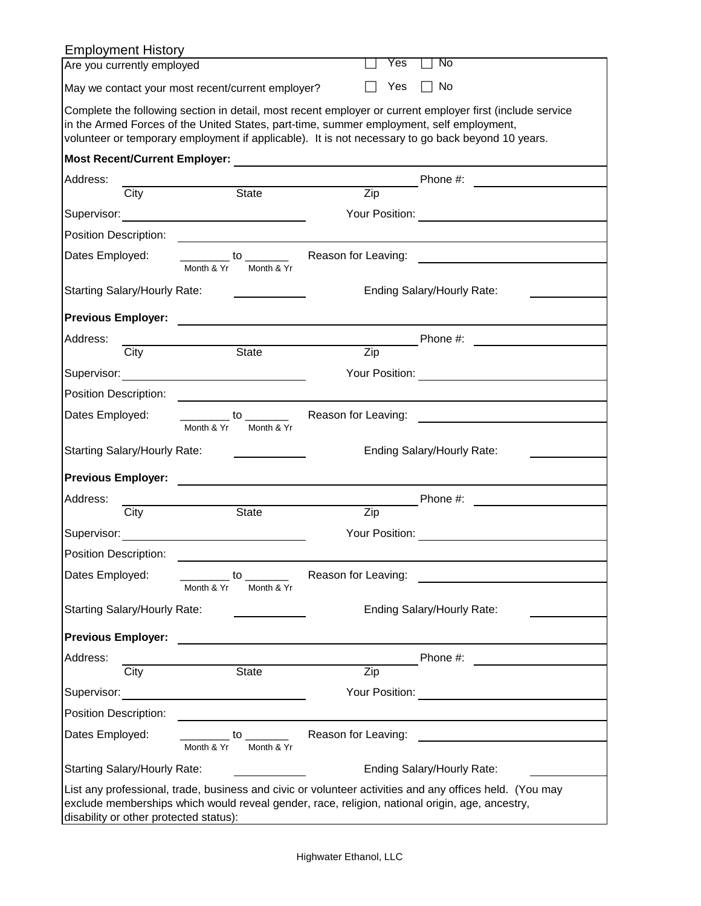| <b>Employment History</b>                         |      |            |                                                                                                                                                                                                                                              |                     |                  |                |                                                                                                                                                                                                                                                                                                            |
|---------------------------------------------------|------|------------|----------------------------------------------------------------------------------------------------------------------------------------------------------------------------------------------------------------------------------------------|---------------------|------------------|----------------|------------------------------------------------------------------------------------------------------------------------------------------------------------------------------------------------------------------------------------------------------------------------------------------------------------|
| Are you currently employed                        |      |            |                                                                                                                                                                                                                                              |                     |                  | Yes            | No                                                                                                                                                                                                                                                                                                         |
| May we contact your most recent/current employer? |      |            |                                                                                                                                                                                                                                              |                     |                  | Yes            | No                                                                                                                                                                                                                                                                                                         |
|                                                   |      |            |                                                                                                                                                                                                                                              |                     |                  |                | Complete the following section in detail, most recent employer or current employer first (include service<br>in the Armed Forces of the United States, part-time, summer employment, self employment,<br>volunteer or temporary employment if applicable). It is not necessary to go back beyond 10 years. |
|                                                   |      |            |                                                                                                                                                                                                                                              |                     |                  |                |                                                                                                                                                                                                                                                                                                            |
| Address:                                          |      |            |                                                                                                                                                                                                                                              |                     |                  |                | Phone #:                                                                                                                                                                                                                                                                                                   |
|                                                   | City |            | <b>State</b>                                                                                                                                                                                                                                 |                     | $\overline{Zip}$ |                |                                                                                                                                                                                                                                                                                                            |
|                                                   |      |            |                                                                                                                                                                                                                                              |                     |                  |                |                                                                                                                                                                                                                                                                                                            |
| Position Description:                             |      |            |                                                                                                                                                                                                                                              |                     |                  |                |                                                                                                                                                                                                                                                                                                            |
| Dates Employed:                                   |      | Month & Yr | $\overline{\phantom{a}}$ to $\overline{\phantom{a}}$<br>Month & Yr                                                                                                                                                                           | Reason for Leaving: |                  |                |                                                                                                                                                                                                                                                                                                            |
| <b>Starting Salary/Hourly Rate:</b>               |      |            |                                                                                                                                                                                                                                              |                     |                  |                | Ending Salary/Hourly Rate:                                                                                                                                                                                                                                                                                 |
|                                                   |      |            |                                                                                                                                                                                                                                              |                     |                  |                |                                                                                                                                                                                                                                                                                                            |
| <b>Previous Employer:</b>                         |      |            |                                                                                                                                                                                                                                              |                     |                  |                |                                                                                                                                                                                                                                                                                                            |
| Address:                                          | City |            | <b>State</b>                                                                                                                                                                                                                                 |                     | Zip              |                | Phone #:                                                                                                                                                                                                                                                                                                   |
| Supervisor:                                       |      |            |                                                                                                                                                                                                                                              |                     |                  |                | Your Position: <u>_________________</u>                                                                                                                                                                                                                                                                    |
|                                                   |      |            | <u> 1980 - Jan Stein Stein Stein Stein Stein Stein Stein Stein Stein Stein Stein Stein Stein Stein Stein Stein S</u>                                                                                                                         |                     |                  |                |                                                                                                                                                                                                                                                                                                            |
| Position Description:                             |      |            |                                                                                                                                                                                                                                              |                     |                  |                |                                                                                                                                                                                                                                                                                                            |
| Dates Employed:                                   |      | Month & Yr | $\overline{\phantom{a}}$ to $\overline{\phantom{a}}$<br>Month & Yr                                                                                                                                                                           | Reason for Leaving: |                  |                |                                                                                                                                                                                                                                                                                                            |
| Starting Salary/Hourly Rate:                      |      |            |                                                                                                                                                                                                                                              |                     |                  |                | Ending Salary/Hourly Rate:                                                                                                                                                                                                                                                                                 |
| <b>Previous Employer:</b>                         |      |            |                                                                                                                                                                                                                                              |                     |                  |                |                                                                                                                                                                                                                                                                                                            |
| Address:                                          |      |            |                                                                                                                                                                                                                                              |                     |                  |                | Phone #:                                                                                                                                                                                                                                                                                                   |
|                                                   | City |            | <b>State</b>                                                                                                                                                                                                                                 |                     | Zip              |                |                                                                                                                                                                                                                                                                                                            |
| Supervisor:                                       |      |            |                                                                                                                                                                                                                                              |                     |                  | Your Position: |                                                                                                                                                                                                                                                                                                            |
| <b>Position Description:</b>                      |      |            |                                                                                                                                                                                                                                              |                     |                  |                |                                                                                                                                                                                                                                                                                                            |
| Dates Employed:                                   |      | Month & Yr | to to the state of the state of the state of the state of the state of the state of the state of the state of the state of the state of the state of the state of the state of the state of the state of the state of the stat<br>Month & Yr | Reason for Leaving: |                  |                |                                                                                                                                                                                                                                                                                                            |
| Starting Salary/Hourly Rate:                      |      |            |                                                                                                                                                                                                                                              |                     |                  |                | Ending Salary/Hourly Rate:                                                                                                                                                                                                                                                                                 |
| <b>Previous Employer:</b>                         |      |            |                                                                                                                                                                                                                                              |                     |                  |                |                                                                                                                                                                                                                                                                                                            |
| Address:                                          |      |            |                                                                                                                                                                                                                                              |                     |                  |                | Phone #:                                                                                                                                                                                                                                                                                                   |
|                                                   | City |            | <b>State</b>                                                                                                                                                                                                                                 |                     | Zip              |                |                                                                                                                                                                                                                                                                                                            |
| Supervisor:                                       |      |            | <u> 1980 - Jan Barbara Barat, prima politik (</u>                                                                                                                                                                                            |                     |                  | Your Position: | <u>and the community of the community of the community of the community of the community of the community of the community of the community of the community of the community of the community of the community of the community</u>                                                                       |
| Position Description:                             |      |            |                                                                                                                                                                                                                                              |                     |                  |                |                                                                                                                                                                                                                                                                                                            |
| Dates Employed:                                   |      |            | to to the state of the state of the state of the state of the state of the state of the state of the state of the state of the state of the state of the state of the state of the state of the state of the state of the stat               | Reason for Leaving: |                  |                |                                                                                                                                                                                                                                                                                                            |
|                                                   |      | Month & Yr | Month & Yr                                                                                                                                                                                                                                   |                     |                  |                |                                                                                                                                                                                                                                                                                                            |
| Starting Salary/Hourly Rate:                      |      |            |                                                                                                                                                                                                                                              |                     |                  |                | Ending Salary/Hourly Rate:                                                                                                                                                                                                                                                                                 |
| disability or other protected status):            |      |            |                                                                                                                                                                                                                                              |                     |                  |                | List any professional, trade, business and civic or volunteer activities and any offices held. (You may<br>exclude memberships which would reveal gender, race, religion, national origin, age, ancestry,                                                                                                  |